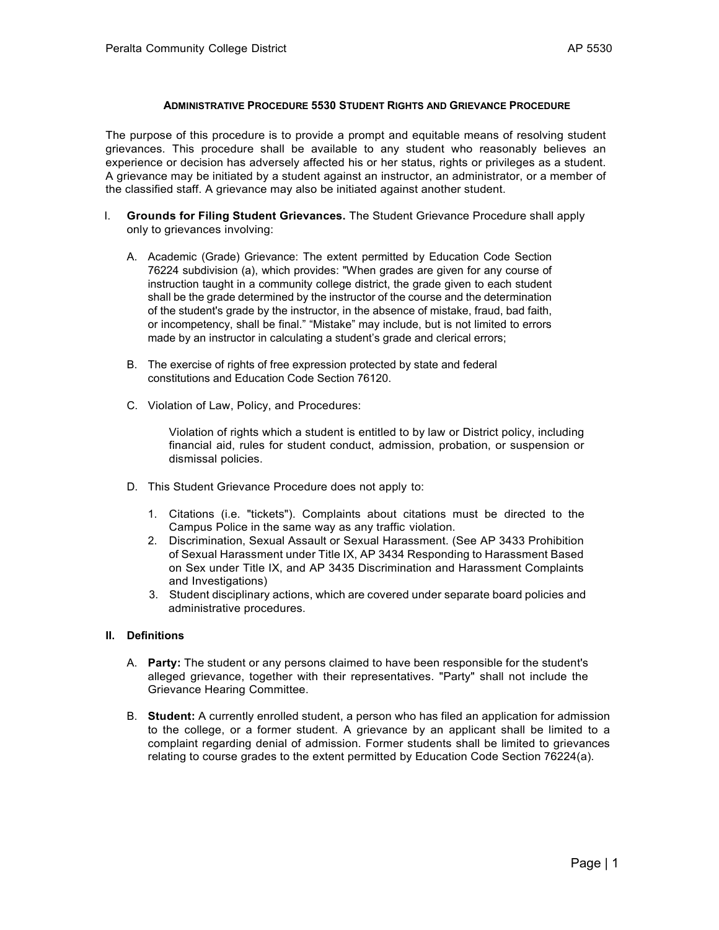## **ADMINISTRATIVE PROCEDURE 5530 STUDENT RIGHTS AND GRIEVANCE PROCEDURE**

The purpose of this procedure is to provide a prompt and equitable means of resolving student grievances. This procedure shall be available to any student who reasonably believes an experience or decision has adversely affected his or her status, rights or privileges as a student. A grievance may be initiated by a student against an instructor, an administrator, or a member of the classified staff. A grievance may also be initiated against another student.

- I. **Grounds for Filing Student Grievances.** The Student Grievance Procedure shall apply only to grievances involving:
	- A. Academic (Grade) Grievance: The extent permitted by Education Code Section 76224 subdivision (a), which provides: "When grades are given for any course of instruction taught in a community college district, the grade given to each student shall be the grade determined by the instructor of the course and the determination of the student's grade by the instructor, in the absence of mistake, fraud, bad faith, or incompetency, shall be final." "Mistake" may include, but is not limited to errors made by an instructor in calculating a student's grade and clerical errors;
	- B. The exercise of rights of free expression protected by state and federal constitutions and Education Code Section 76120.
	- C. Violation of Law, Policy, and Procedures:

Violation of rights which a student is entitled to by law or District policy, including financial aid, rules for student conduct, admission, probation, or suspension or dismissal policies.

- D. This Student Grievance Procedure does not apply to:
	- 1. Citations (i.e. "tickets"). Complaints about citations must be directed to the Campus Police in the same way as any traffic violation.
	- 2. Discrimination, Sexual Assault or Sexual Harassment. (See AP 3433 Prohibition of Sexual Harassment under Title IX, AP 3434 Responding to Harassment Based on Sex under Title IX, and AP 3435 Discrimination and Harassment Complaints and Investigations)
	- 3. Student disciplinary actions, which are covered under separate board policies and administrative procedures.

# **II. Definitions**

- A. **Party:** The student or any persons claimed to have been responsible for the student's alleged grievance, together with their representatives. "Party" shall not include the Grievance Hearing Committee.
- B. **Student:** A currently enrolled student, a person who has filed an application for admission to the college, or a former student. A grievance by an applicant shall be limited to a complaint regarding denial of admission. Former students shall be limited to grievances relating to course grades to the extent permitted by Education Code Section 76224(a).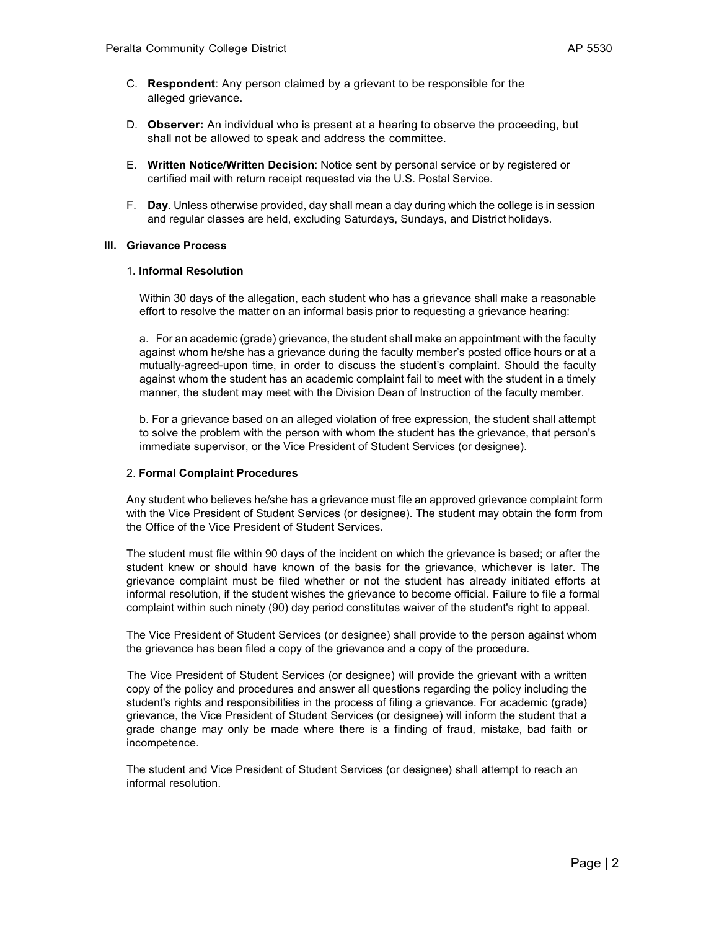- C. **Respondent**: Any person claimed by a grievant to be responsible for the alleged grievance.
- D. **Observer:** An individual who is present at a hearing to observe the proceeding, but shall not be allowed to speak and address the committee.
- E. **Written Notice/Written Decision**: Notice sent by personal service or by registered or certified mail with return receipt requested via the U.S. Postal Service.
- F. **Day**. Unless otherwise provided, day shall mean a day during which the college is in session and regular classes are held, excluding Saturdays, Sundays, and District holidays.

## **III. Grievance Process**

### 1**. Informal Resolution**

Within 30 days of the allegation, each student who has a grievance shall make a reasonable effort to resolve the matter on an informal basis prior to requesting a grievance hearing:

a. For an academic (grade) grievance, the student shall make an appointment with the faculty against whom he/she has a grievance during the faculty member's posted office hours or at a mutually-agreed-upon time, in order to discuss the student's complaint. Should the faculty against whom the student has an academic complaint fail to meet with the student in a timely manner, the student may meet with the Division Dean of Instruction of the faculty member.

b. For a grievance based on an alleged violation of free expression, the student shall attempt to solve the problem with the person with whom the student has the grievance, that person's immediate supervisor, or the Vice President of Student Services (or designee).

# 2. **Formal Complaint Procedures**

Any student who believes he/she has a grievance must file an approved grievance complaint form with the Vice President of Student Services (or designee). The student may obtain the form from the Office of the Vice President of Student Services.

The student must file within 90 days of the incident on which the grievance is based; or after the student knew or should have known of the basis for the grievance, whichever is later. The grievance complaint must be filed whether or not the student has already initiated efforts at informal resolution, if the student wishes the grievance to become official. Failure to file a formal complaint within such ninety (90) day period constitutes waiver of the student's right to appeal.

The Vice President of Student Services (or designee) shall provide to the person against whom the grievance has been filed a copy of the grievance and a copy of the procedure.

The Vice President of Student Services (or designee) will provide the grievant with a written copy of the policy and procedures and answer all questions regarding the policy including the student's rights and responsibilities in the process of filing a grievance. For academic (grade) grievance, the Vice President of Student Services (or designee) will inform the student that a grade change may only be made where there is a finding of fraud, mistake, bad faith or incompetence.

The student and Vice President of Student Services (or designee) shall attempt to reach an informal resolution.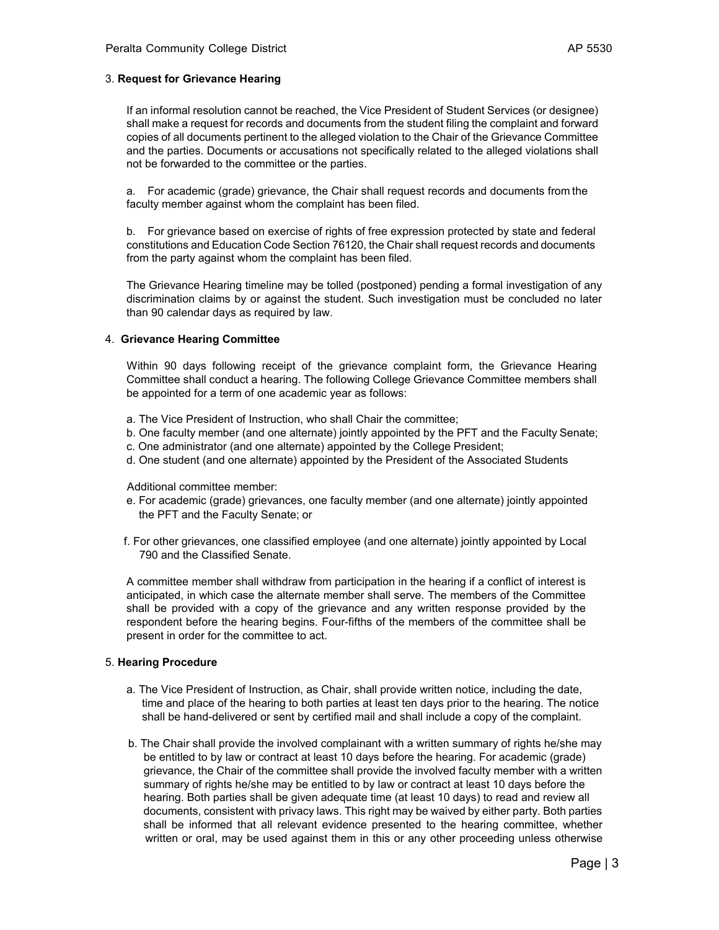### 3. **Request for Grievance Hearing**

If an informal resolution cannot be reached, the Vice President of Student Services (or designee) shall make a request for records and documents from the student filing the complaint and forward copies of all documents pertinent to the alleged violation to the Chair of the Grievance Committee and the parties. Documents or accusations not specifically related to the alleged violations shall not be forwarded to the committee or the parties.

a. For academic (grade) grievance, the Chair shall request records and documents from the faculty member against whom the complaint has been filed.

b. For grievance based on exercise of rights of free expression protected by state and federal constitutions and Education Code Section 76120, the Chair shall request records and documents from the party against whom the complaint has been filed.

The Grievance Hearing timeline may be tolled (postponed) pending a formal investigation of any discrimination claims by or against the student. Such investigation must be concluded no later than 90 calendar days as required by law.

#### 4. **Grievance Hearing Committee**

 Within 90 days following receipt of the grievance complaint form, the Grievance Hearing Committee shall conduct a hearing. The following College Grievance Committee members shall be appointed for a term of one academic year as follows:

- a. The Vice President of Instruction, who shall Chair the committee;
- b. One faculty member (and one alternate) jointly appointed by the PFT and the Faculty Senate;
- c. One administrator (and one alternate) appointed by the College President;
- d. One student (and one alternate) appointed by the President of the Associated Students

Additional committee member:

- e. For academic (grade) grievances, one faculty member (and one alternate) jointly appointed the PFT and the Faculty Senate; or
- f. For other grievances, one classified employee (and one alternate) jointly appointed by Local 790 and the Classified Senate.

A committee member shall withdraw from participation in the hearing if a conflict of interest is anticipated, in which case the alternate member shall serve. The members of the Committee shall be provided with a copy of the grievance and any written response provided by the respondent before the hearing begins. Four-fifths of the members of the committee shall be present in order for the committee to act.

#### 5. **Hearing Procedure**

- a. The Vice President of Instruction, as Chair, shall provide written notice, including the date, time and place of the hearing to both parties at least ten days prior to the hearing. The notice shall be hand-delivered or sent by certified mail and shall include a copy of the complaint.
- b. The Chair shall provide the involved complainant with a written summary of rights he/she may be entitled to by law or contract at least 10 days before the hearing. For academic (grade) grievance, the Chair of the committee shall provide the involved faculty member with a written summary of rights he/she may be entitled to by law or contract at least 10 days before the hearing. Both parties shall be given adequate time (at least 10 days) to read and review all documents, consistent with privacy laws. This right may be waived by either party. Both parties shall be informed that all relevant evidence presented to the hearing committee, whether written or oral, may be used against them in this or any other proceeding unless otherwise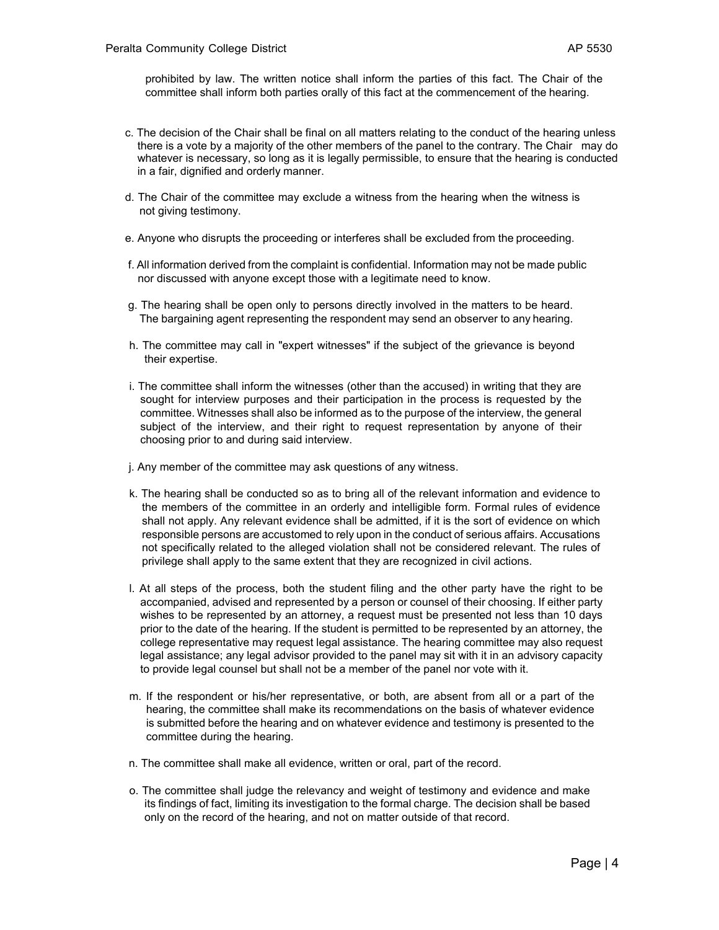prohibited by law. The written notice shall inform the parties of this fact. The Chair of the committee shall inform both parties orally of this fact at the commencement of the hearing.

- c. The decision of the Chair shall be final on all matters relating to the conduct of the hearing unless there is a vote by a majority of the other members of the panel to the contrary. The Chair may do whatever is necessary, so long as it is legally permissible, to ensure that the hearing is conducted in a fair, dignified and orderly manner.
- d. The Chair of the committee may exclude a witness from the hearing when the witness is not giving testimony.
- e. Anyone who disrupts the proceeding or interferes shall be excluded from the proceeding.
- f. All information derived from the complaint is confidential. Information may not be made public nor discussed with anyone except those with a legitimate need to know.
- g. The hearing shall be open only to persons directly involved in the matters to be heard. The bargaining agent representing the respondent may send an observer to any hearing.
- h. The committee may call in "expert witnesses" if the subject of the grievance is beyond their expertise.
- i. The committee shall inform the witnesses (other than the accused) in writing that they are sought for interview purposes and their participation in the process is requested by the committee. Witnesses shall also be informed as to the purpose of the interview, the general subject of the interview, and their right to request representation by anyone of their choosing prior to and during said interview.
- j. Any member of the committee may ask questions of any witness.
- k. The hearing shall be conducted so as to bring all of the relevant information and evidence to the members of the committee in an orderly and intelligible form. Formal rules of evidence shall not apply. Any relevant evidence shall be admitted, if it is the sort of evidence on which responsible persons are accustomed to rely upon in the conduct of serious affairs. Accusations not specifically related to the alleged violation shall not be considered relevant. The rules of privilege shall apply to the same extent that they are recognized in civil actions.
- l. At all steps of the process, both the student filing and the other party have the right to be accompanied, advised and represented by a person or counsel of their choosing. If either party wishes to be represented by an attorney, a request must be presented not less than 10 days prior to the date of the hearing. If the student is permitted to be represented by an attorney, the college representative may request legal assistance. The hearing committee may also request legal assistance; any legal advisor provided to the panel may sit with it in an advisory capacity to provide legal counsel but shall not be a member of the panel nor vote with it.
- m. If the respondent or his/her representative, or both, are absent from all or a part of the hearing, the committee shall make its recommendations on the basis of whatever evidence is submitted before the hearing and on whatever evidence and testimony is presented to the committee during the hearing.
- n. The committee shall make all evidence, written or oral, part of the record.
- o. The committee shall judge the relevancy and weight of testimony and evidence and make its findings of fact, limiting its investigation to the formal charge. The decision shall be based only on the record of the hearing, and not on matter outside of that record.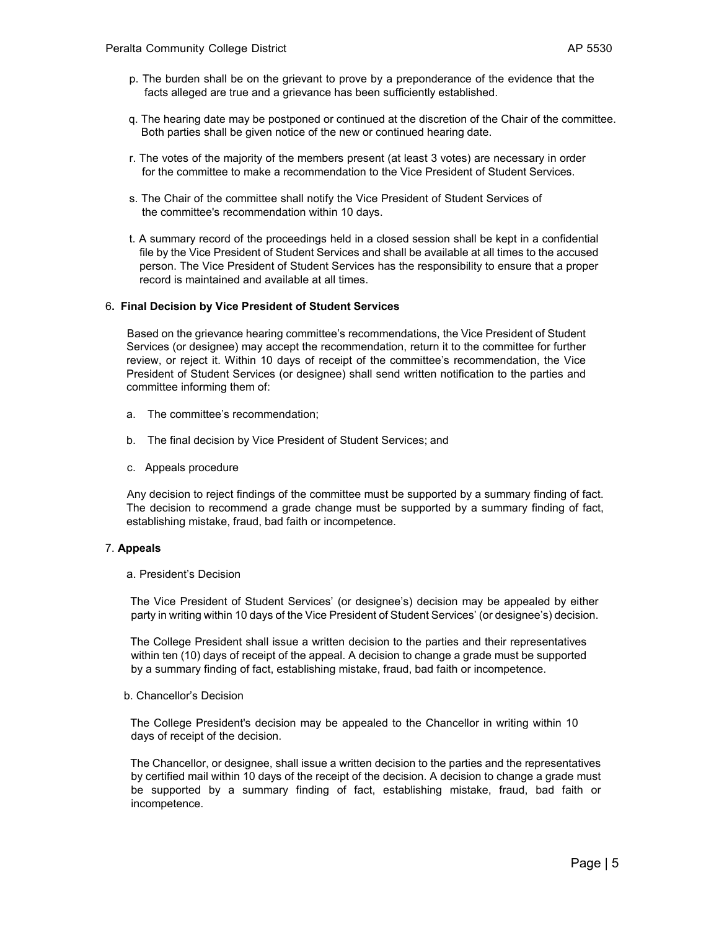- p. The burden shall be on the grievant to prove by a preponderance of the evidence that the facts alleged are true and a grievance has been sufficiently established.
- q. The hearing date may be postponed or continued at the discretion of the Chair of the committee. Both parties shall be given notice of the new or continued hearing date.
- r. The votes of the majority of the members present (at least 3 votes) are necessary in order for the committee to make a recommendation to the Vice President of Student Services.
- s. The Chair of the committee shall notify the Vice President of Student Services of the committee's recommendation within 10 days.
- t. A summary record of the proceedings held in a closed session shall be kept in a confidential file by the Vice President of Student Services and shall be available at all times to the accused person. The Vice President of Student Services has the responsibility to ensure that a proper record is maintained and available at all times.

#### 6**. Final Decision by Vice President of Student Services**

 Based on the grievance hearing committee's recommendations, the Vice President of Student Services (or designee) may accept the recommendation, return it to the committee for further review, or reject it. Within 10 days of receipt of the committee's recommendation, the Vice President of Student Services (or designee) shall send written notification to the parties and committee informing them of:

- a. The committee's recommendation;
- b. The final decision by Vice President of Student Services; and
- c. Appeals procedure

 Any decision to reject findings of the committee must be supported by a summary finding of fact. The decision to recommend a grade change must be supported by a summary finding of fact, establishing mistake, fraud, bad faith or incompetence.

### 7. **Appeals**

## a. President's Decision

 The Vice President of Student Services' (or designee's) decision may be appealed by either party in writing within 10 days of the Vice President of Student Services' (or designee's) decision.

 The College President shall issue a written decision to the parties and their representatives within ten (10) days of receipt of the appeal. A decision to change a grade must be supported by a summary finding of fact, establishing mistake, fraud, bad faith or incompetence.

### b. Chancellor's Decision

 The College President's decision may be appealed to the Chancellor in writing within 10 days of receipt of the decision.

 The Chancellor, or designee, shall issue a written decision to the parties and the representatives by certified mail within 10 days of the receipt of the decision. A decision to change a grade must be supported by a summary finding of fact, establishing mistake, fraud, bad faith or incompetence.